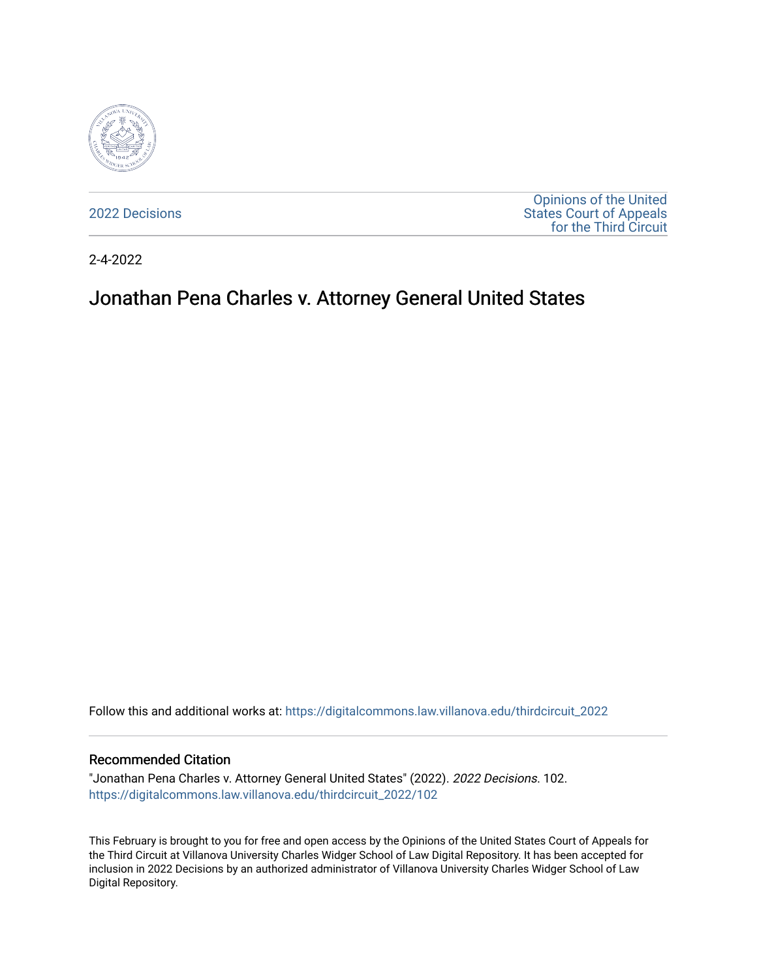

[2022 Decisions](https://digitalcommons.law.villanova.edu/thirdcircuit_2022)

[Opinions of the United](https://digitalcommons.law.villanova.edu/thirdcircuit)  [States Court of Appeals](https://digitalcommons.law.villanova.edu/thirdcircuit)  [for the Third Circuit](https://digitalcommons.law.villanova.edu/thirdcircuit) 

2-4-2022

## Jonathan Pena Charles v. Attorney General United States

Follow this and additional works at: [https://digitalcommons.law.villanova.edu/thirdcircuit\\_2022](https://digitalcommons.law.villanova.edu/thirdcircuit_2022?utm_source=digitalcommons.law.villanova.edu%2Fthirdcircuit_2022%2F102&utm_medium=PDF&utm_campaign=PDFCoverPages) 

## Recommended Citation

"Jonathan Pena Charles v. Attorney General United States" (2022). 2022 Decisions. 102. [https://digitalcommons.law.villanova.edu/thirdcircuit\\_2022/102](https://digitalcommons.law.villanova.edu/thirdcircuit_2022/102?utm_source=digitalcommons.law.villanova.edu%2Fthirdcircuit_2022%2F102&utm_medium=PDF&utm_campaign=PDFCoverPages)

This February is brought to you for free and open access by the Opinions of the United States Court of Appeals for the Third Circuit at Villanova University Charles Widger School of Law Digital Repository. It has been accepted for inclusion in 2022 Decisions by an authorized administrator of Villanova University Charles Widger School of Law Digital Repository.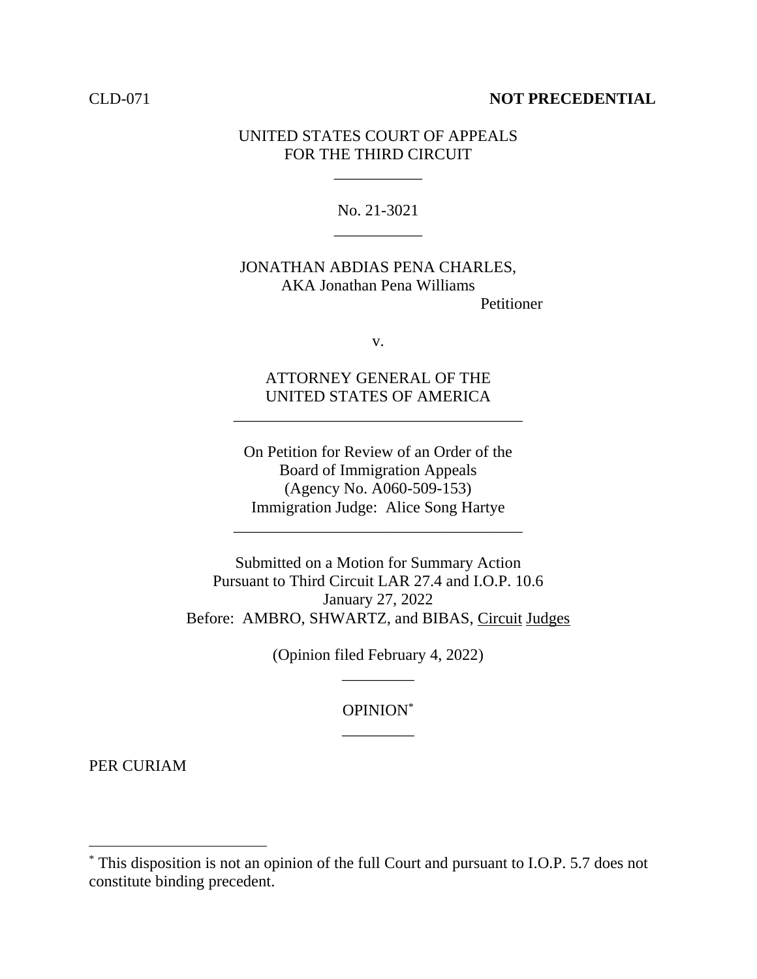## CLD-071 **NOT PRECEDENTIAL**

## UNITED STATES COURT OF APPEALS FOR THE THIRD CIRCUIT

\_\_\_\_\_\_\_\_\_\_\_

No. 21-3021 \_\_\_\_\_\_\_\_\_\_\_

JONATHAN ABDIAS PENA CHARLES, AKA Jonathan Pena Williams Petitioner

v.

ATTORNEY GENERAL OF THE UNITED STATES OF AMERICA

\_\_\_\_\_\_\_\_\_\_\_\_\_\_\_\_\_\_\_\_\_\_\_\_\_\_\_\_\_\_\_\_\_\_\_\_

On Petition for Review of an Order of the Board of Immigration Appeals (Agency No. A060-509-153) Immigration Judge: Alice Song Hartye

\_\_\_\_\_\_\_\_\_\_\_\_\_\_\_\_\_\_\_\_\_\_\_\_\_\_\_\_\_\_\_\_\_\_\_\_

Submitted on a Motion for Summary Action Pursuant to Third Circuit LAR 27.4 and I.O.P. 10.6 January 27, 2022 Before: AMBRO, SHWARTZ, and BIBAS, Circuit Judges

> (Opinion filed February 4, 2022) \_\_\_\_\_\_\_\_\_

> > OPINION\* \_\_\_\_\_\_\_\_\_

PER CURIAM

<sup>\*</sup> This disposition is not an opinion of the full Court and pursuant to I.O.P. 5.7 does not constitute binding precedent.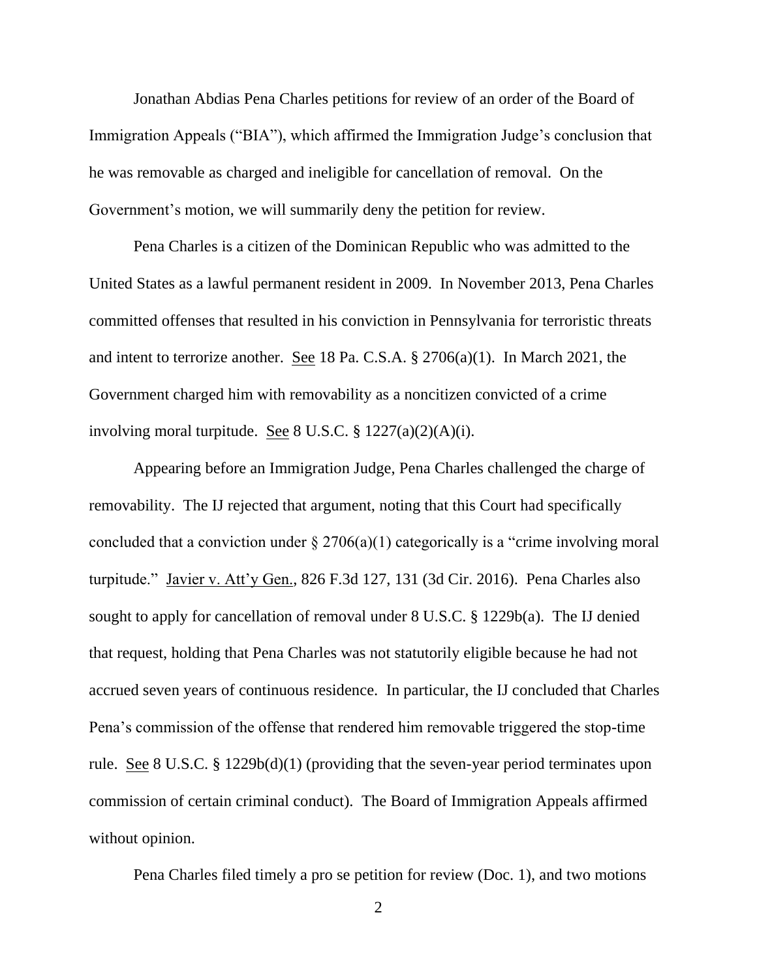Jonathan Abdias Pena Charles petitions for review of an order of the Board of Immigration Appeals ("BIA"), which affirmed the Immigration Judge's conclusion that he was removable as charged and ineligible for cancellation of removal. On the Government's motion, we will summarily deny the petition for review.

Pena Charles is a citizen of the Dominican Republic who was admitted to the United States as a lawful permanent resident in 2009. In November 2013, Pena Charles committed offenses that resulted in his conviction in Pennsylvania for terroristic threats and intent to terrorize another. See 18 Pa. C.S.A. § 2706(a)(1). In March 2021, the Government charged him with removability as a noncitizen convicted of a crime involving moral turpitude. See 8 U.S.C. § 1227(a)(2)(A)(i).

Appearing before an Immigration Judge, Pena Charles challenged the charge of removability. The IJ rejected that argument, noting that this Court had specifically concluded that a conviction under  $\S 2706(a)(1)$  categorically is a "crime involving moral turpitude." Javier v. Att'y Gen., 826 F.3d 127, 131 (3d Cir. 2016). Pena Charles also sought to apply for cancellation of removal under 8 U.S.C. § 1229b(a). The IJ denied that request, holding that Pena Charles was not statutorily eligible because he had not accrued seven years of continuous residence. In particular, the IJ concluded that Charles Pena's commission of the offense that rendered him removable triggered the stop-time rule. See 8 U.S.C. § 1229b(d)(1) (providing that the seven-year period terminates upon commission of certain criminal conduct). The Board of Immigration Appeals affirmed without opinion.

Pena Charles filed timely a pro se petition for review (Doc. 1), and two motions

2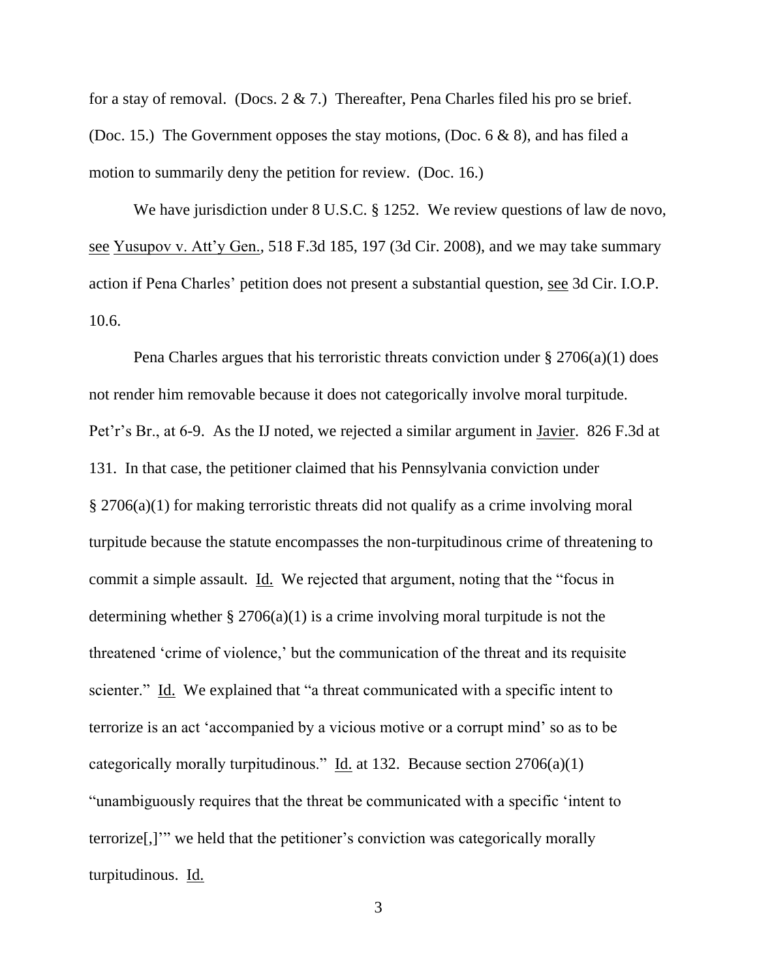for a stay of removal. (Docs.  $2 \& 7$ .) Thereafter, Pena Charles filed his pro se brief. (Doc. 15.) The Government opposes the stay motions, (Doc. 6 & 8), and has filed a motion to summarily deny the petition for review. (Doc. 16.)

We have jurisdiction under 8 U.S.C. § 1252. We review questions of law de novo, see Yusupov v. Att'y Gen., 518 F.3d 185, 197 (3d Cir. 2008), and we may take summary action if Pena Charles' petition does not present a substantial question, see 3d Cir. I.O.P. 10.6.

Pena Charles argues that his terroristic threats conviction under  $\S 2706(a)(1)$  does not render him removable because it does not categorically involve moral turpitude. Pet'r's Br., at 6-9. As the IJ noted, we rejected a similar argument in Javier. 826 F.3d at 131. In that case, the petitioner claimed that his Pennsylvania conviction under § 2706(a)(1) for making terroristic threats did not qualify as a crime involving moral turpitude because the statute encompasses the non-turpitudinous crime of threatening to commit a simple assault. Id. We rejected that argument, noting that the "focus in determining whether  $\S 2706(a)(1)$  is a crime involving moral turpitude is not the threatened 'crime of violence,' but the communication of the threat and its requisite scienter." Id. We explained that "a threat communicated with a specific intent to terrorize is an act 'accompanied by a vicious motive or a corrupt mind' so as to be categorically morally turpitudinous." Id. at 132. Because section  $2706(a)(1)$ "unambiguously requires that the threat be communicated with a specific 'intent to terrorize[,]'" we held that the petitioner's conviction was categorically morally turpitudinous. Id.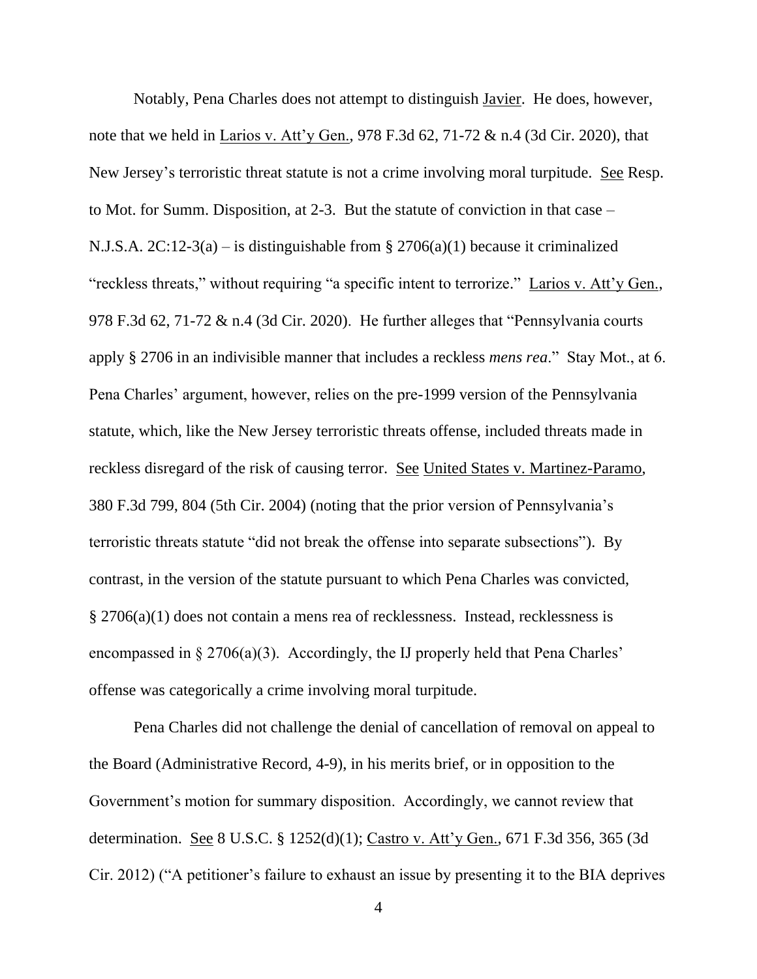Notably, Pena Charles does not attempt to distinguish Javier. He does, however, note that we held in Larios v. Att'y Gen., 978 F.3d 62, 71-72 & n.4 (3d Cir. 2020), that New Jersey's terroristic threat statute is not a crime involving moral turpitude. See Resp. to Mot. for Summ. Disposition, at 2-3. But the statute of conviction in that case – N.J.S.A. 2C:12-3(a) – is distinguishable from § 2706(a)(1) because it criminalized "reckless threats," without requiring "a specific intent to terrorize." Larios v. Att'y Gen., 978 F.3d 62, 71-72 & n.4 (3d Cir. 2020). He further alleges that "Pennsylvania courts apply § 2706 in an indivisible manner that includes a reckless *mens rea*." Stay Mot., at 6. Pena Charles' argument, however, relies on the pre-1999 version of the Pennsylvania statute, which, like the New Jersey terroristic threats offense, included threats made in reckless disregard of the risk of causing terror. See United States v. Martinez-Paramo, 380 F.3d 799, 804 (5th Cir. 2004) (noting that the prior version of Pennsylvania's terroristic threats statute "did not break the offense into separate subsections"). By contrast, in the version of the statute pursuant to which Pena Charles was convicted, § 2706(a)(1) does not contain a mens rea of recklessness. Instead, recklessness is encompassed in  $\S 2706(a)(3)$ . Accordingly, the IJ properly held that Pena Charles' offense was categorically a crime involving moral turpitude.

Pena Charles did not challenge the denial of cancellation of removal on appeal to the Board (Administrative Record, 4-9), in his merits brief, or in opposition to the Government's motion for summary disposition. Accordingly, we cannot review that determination. See 8 U.S.C. § 1252(d)(1); Castro v. Att'y Gen., 671 F.3d 356, 365 (3d Cir. 2012) ("A petitioner's failure to exhaust an issue by presenting it to the BIA deprives